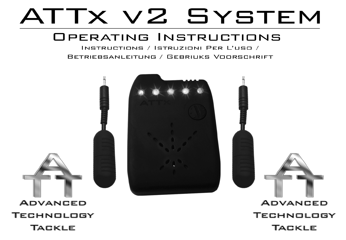# ATTX V2 SYSTEM

# OPERATING INSTRUCTIONS

INSTRUCTIONS / ISTRUZIONI PFR L'USO / BETRIEBSANLEITUNG / GEBRIUKS VOORSCHRIFT

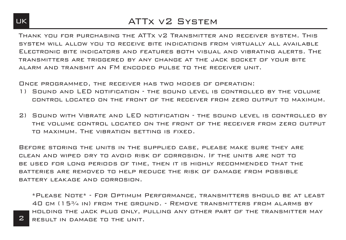### UK ATTX VZ SYSTEM

Thank you for purchasing the ATTx v2 Transmitter and receiver system. This system will allow you to receive bite indications from virtually all available Electronic bite indicators and features both visual and vibrating alerts. The transmitters are triggered by any change at the jack socket of your bite alarm and transmit an FM encoded pulse to the receiver unit.

Once programmed, the receiver has two modes of operation:

- 1) Sound and LED notification the sound level is controlled by the volume control located on the front of the receiver from zero output to maximum.
- 2) Sound with Vibrate and LED notification the sound level is controlled by the volume control located on the front of the receiver from zero output to maximum. The vibration setting is fixed.

Before storing the units in the supplied case, please make sure they are clean and wiped dry to avoid risk of corrosion. If the units are not to be used for long periods of time, then it is highly recommended that the BATTERIES ARE REMOVED TO HELP REDUCE THE RISK OF DAMAGE FROM POSSIBLE BATTERY LEAKAGE AND CORROSION.

\*Please Note\* - For Optimum Performance, transmitters should be at least 40 cm (15¾ in) from the ground. - Remove transmitters from alarms by holding the jack plug only, pulling any other part of the transmitter may result in damage to the unit.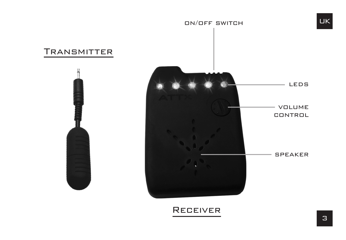

# Receiver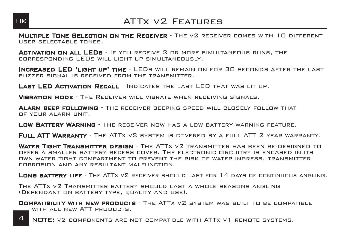

# UK ATTX V2 FFATURES

MULTIPLE TONE SELECTION ON THE RECEIVER - THE V2 RECEIVER COMES WITH 10 DIFFERENT

Activation on all LEDs - If you receive 2 or more simultaneous runs, the corresponding LEDs will light up simultaneously.

Increased LED 'light up' time - LEDs will remain on for 30 seconds after the last buzzer signal is received from the transmitter.

LAST LED ACTIVATION RECALL - INDICATES THE LAST LED THAT WAS LIT UP.

VIBRATION MODE - THE RECEIVER WILL VIBRATE WHEN RECEIVING SIGNALS.

**ALARM BEEP FOLLOWING** - THE RECEIVER BEEPING SPEED WILL CLOSELY FOLLOW THAT OF YOUR ALARM UNIT.

**LOW BATTERY WARNING - THE RECEIVER NOW HAS A LOW BATTERY WARNING FEATURE.** 

FULL ATT WARRANTY - THE ATTX VZ SYSTEM IS COVERED BY A FULL ATT Z YEAR WARRANTY.

**WATER TIGHT TRANSMITTER DESIGN -** THE ATTX V2 TRANSMITTER HAS BEEN RE-DESIGNED TO  $T = 0$  the anti-circuit recess cover. The electronic circuitry is encased in its own water tight compartment to prevent the risk of water ingress, transmitter corrosion and any resultant malfunction.

LONG BATTERY LIFE - THE ATTX V2 RECEIVER SHOULD LAST FOR 14 DAYS OF CONTINUOUS ANGLING.

The ATTx v2 Transmitter battery should last a whole seasons angling (Dependant on battery type, quality and use).

**COMPATIBILITY WITH NEW PRODUCTS** - THE ATTX V2 SYSTEM WAS BUILT TO BE COMPATIBLE WITH ALL NEW ATT PRODUCTS.

NOTE: v2 components are not compatible with ATTx v1 remote systems.  $\Delta$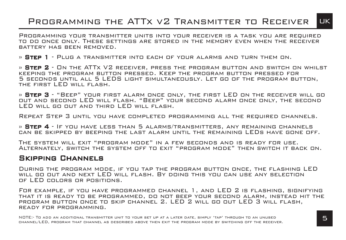# Programming the ATTx v2 Transmitter to Receiver UK

Programming your transmitter units into your receiver is a task you are required to do once only. These settings are stored in the memory even when the receiver battery has been removed.

» Step 1 - Plug a transmitter into each of your alarms and turn them on.

» **Step 2** - On the ATTx V2 receiver, press the program button and switch on whilst<br>Keeping the program button pressed. Keep the program button pressed for 5 seconds until all 5 LEDS light simultaneously. Let go of the program button, the first LED will flash.

» Step 3 - "Beep" your first alarm once only, the first LED on the receiver will go out and second LED will flash. "Beep" your second alarm once only, the second LED will go out and third LED will flash.

Repeat Step 3 until you have completed programming all the required channels.

» STEP 4 - If you have less than 5 alarms/transmitters, any remaining channels can be skipped by beeping the last alarm until the remaining LEDs have gone off.

The system will exit "program mode" in a few seconds and is ready for use. Alternately, switch the system off to exit "program mode" then switch it back on.

#### Skipping Channels

During the program mode, if you tap the program button once, the flashing LED will go out and next LED will flash. By doing this you can use any selection of LED colors or positions.

For example, if you have programmed channel 1, and LED 2 is flashing, signifying that it is ready to be programmed, do not beep your second alarm, instead hit the program button once to skip channel 2. LED 2 will go out LED 3 will flash, ready for programming.

NOTE:- To add an additional transmitter unit to your set up at a later date, simply 'tap' through to an unused channel/LED, program that channel as described above then exit the program mode by switching off the receiver.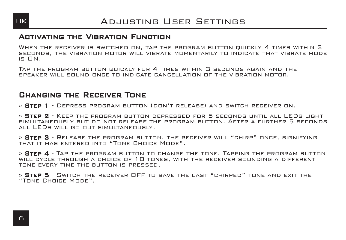

#### Activating the Vibration Function

WHEN THE RECEIVER IS SWITCHED ON, TAP THE PROGRAM BUTTON QUICKLY 4 TIMES WITHIN 3 seconds, the vibration motor will vibrate momentarily to indicate that vibrate mode is ON.

Tap the program button quickly for 4 times within 3 seconds again and the speaker will sound once to indicate cancellation of the vibration motor.

#### Changing the Receiver Tone

» Step 1 - Depress program button (don't release) and switch receiver on.

» **Step 2** - Keep the program button depressed for 5 seconds until all LEDs light<br>simultaneously but do not release the program button. After a further 5 seconds all LEDs will go out simultaneously.

» **STEP 3** - RELEASE THE PROGRAM BUTTON, THE RECEIVER WILL "CHIRP" ONCE, SIGNIFYING<br>THAT IT HAS ENTERED INTO "TONE CHOICE MODE".

» **STEP 4** - Tap the program button to change the tone. Tapping the program button will cycle through a choice of 10 tones, with the receiver sounding a different tone every time the button is pressed.

» **STEP 5** - SWITCH THE RECEIVER OFF TO SAVE THE LAST "CHIRPED" TONE AND EXIT THE "TONE CHOICE MODE".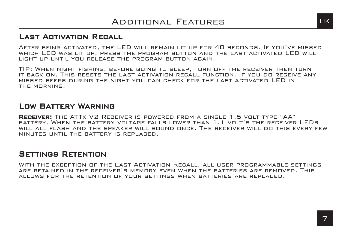#### Last Activation Recall

After being activated, the LED will remain lit up for 40 seconds. If you've missed which LED was lit up, press the program button and the last activated LED will light up until you release the program button again.

TIP: When night fishing, before going to sleep, turn off the receiver then turn it back on. This resets the last activation recall function. If you do receive any missed beeps during the night you can check for the last activated LED in the morning.

#### Low Battery Warning

**RECEIVER:** The ATTX V2 Receiver is powered from a single 1.5 volt type "AA" battery. When the battery voltage falls lower than 1.1 volt's the receiver LEDs will all flash and the speaker will sound once. The receiver will do this every few minutes until the battery is replaced.

#### Settings Retention

With the exception of the Last Activation Recall, all user programmable settings are retained in the receiver's memory even when the batteries are removed. This allows for the retention of your settings when batteries are replaced.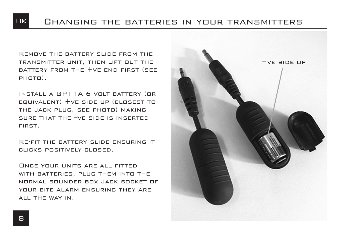# UK Changing the batteries in your transmitters

Remove the battery slide from the transmitter unit, then lift out the BATTERY FROM THE  $+VF$  end first (see photo).

Install a GP11A 6 volt battery (or equivalent) +ve side up (closest to the jack plug, see photo) making sure that the –ve side is inserted first.

Re-fit the battery slide ensuring it clicks positively closed.

ONCE YOUR UNITS ARE ALL FITTED. with batteries, plug them into the normal sounder box jack socket of YOUR BITE ALARM ENSURING THEY ARE all the way in.

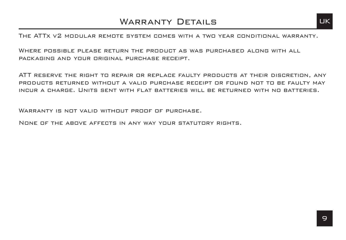The ATTx v2 modular remote system comes with a two year conditional warranty.

WHERE POSSIBLE PLEASE RETURN THE PRODUCT AS WAS PURCHASED ALONG WITH ALL packaging and your original purchase receipt.

ATT PESERVE THE PIGHT TO REPAIR OR REPLACE FAILLTY PRODUCTS AT THEIR DISCRETION, ANY products returned without a valid purchase receipt or found not to be faulty may incur a charge. Units sent with flat batteries will be returned with no batteries.

WARRANTY IS NOT VALID WITHOUT PROOF OF PURCHASE.

None of the above affects in any way your statutory rights.

9